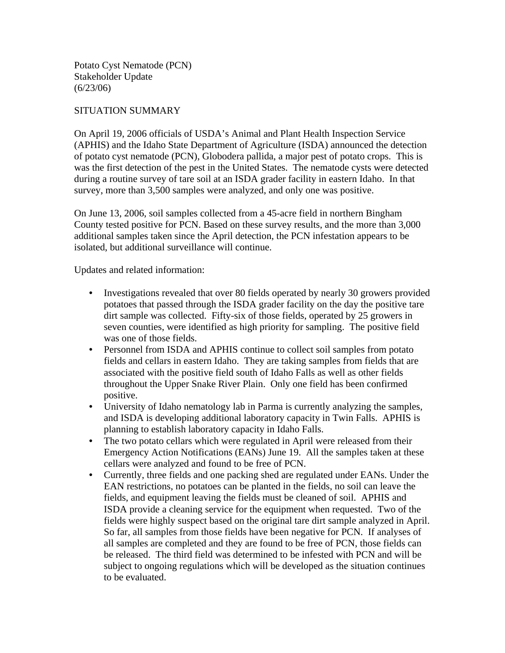Potato Cyst Nematode (PCN) Stakeholder Update  $(6/23/06)$ 

## SITUATION SUMMARY

On April 19, 2006 officials of USDA's Animal and Plant Health Inspection Service (APHIS) and the Idaho State Department of Agriculture (ISDA) announced the detection of potato cyst nematode (PCN), Globodera pallida, a major pest of potato crops. This is was the first detection of the pest in the United States. The nematode cysts were detected during a routine survey of tare soil at an ISDA grader facility in eastern Idaho. In that survey, more than 3,500 samples were analyzed, and only one was positive.

On June 13, 2006, soil samples collected from a 45-acre field in northern Bingham County tested positive for PCN. Based on these survey results, and the more than 3,000 additional samples taken since the April detection, the PCN infestation appears to be isolated, but additional surveillance will continue.

Updates and related information:

- Investigations revealed that over 80 fields operated by nearly 30 growers provided potatoes that passed through the ISDA grader facility on the day the positive tare dirt sample was collected. Fifty-six of those fields, operated by 25 growers in seven counties, were identified as high priority for sampling. The positive field was one of those fields.
- Personnel from ISDA and APHIS continue to collect soil samples from potato fields and cellars in eastern Idaho. They are taking samples from fields that are associated with the positive field south of Idaho Falls as well as other fields throughout the Upper Snake River Plain. Only one field has been confirmed positive.
- University of Idaho nematology lab in Parma is currently analyzing the samples, and ISDA is developing additional laboratory capacity in Twin Falls. APHIS is planning to establish laboratory capacity in Idaho Falls.
- The two potato cellars which were regulated in April were released from their Emergency Action Notifications (EANs) June 19. All the samples taken at these cellars were analyzed and found to be free of PCN.
- Currently, three fields and one packing shed are regulated under EANs. Under the EAN restrictions, no potatoes can be planted in the fields, no soil can leave the fields, and equipment leaving the fields must be cleaned of soil. APHIS and ISDA provide a cleaning service for the equipment when requested. Two of the fields were highly suspect based on the original tare dirt sample analyzed in April. So far, all samples from those fields have been negative for PCN. If analyses of all samples are completed and they are found to be free of PCN, those fields can be released. The third field was determined to be infested with PCN and will be subject to ongoing regulations which will be developed as the situation continues to be evaluated.